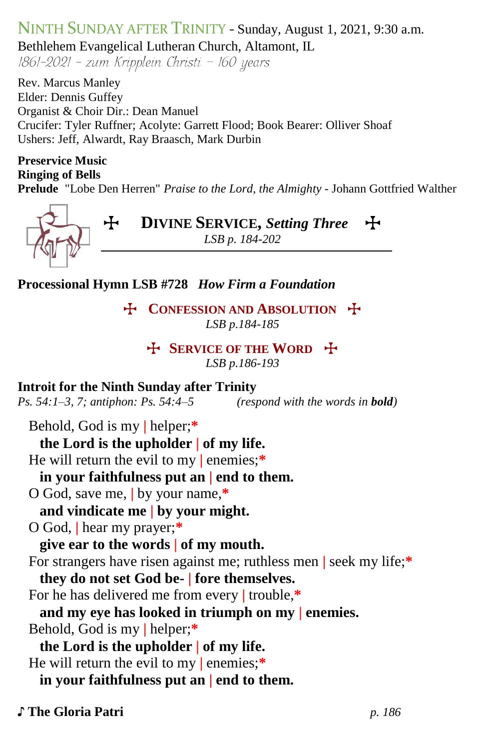# NINTH SUNDAY AFTER TRINITY - Sunday, August 1, 2021, 9:30 a.m. Bethlehem Evangelical Lutheran Church, Altamont, IL  $1861-2021$  - zum Kripplein Christi - 160 years

Rev. Marcus Manley Elder: Dennis Guffey Organist & Choir Dir.: Dean Manuel Crucifer: Tyler Ruffner; Acolyte: Garrett Flood; Book Bearer: Olliver Shoaf Ushers: Jeff, Alwardt, Ray Braasch, Mark Durbin

## **Preservice Music Ringing of Bells**

**Prelude** "Lobe Den Herren" *Praise to the Lord, the Almighty* - Johann Gottfried Walther



T **DIVINE SERVICE,** *Setting Three*T *LSB p. 184-202*

**Processional Hymn LSB #728** *How Firm a Foundation*

**T** CONFESSION AND ABSOLUTION  $\ddagger$ *LSB p.184-185*

## T **SERVICE OF THE WORD** T

*LSB p.186-193*

## **Introit for the Ninth Sunday after Trinity**

*Ps. 54:1–3, 7; antiphon: Ps. 54:4–5**(respond with the words in bold)*

Behold, God is my **|** helper;**\***

### **the Lord is the upholder | of my life.**

He will return the evil to my **|** enemies;**\***

## **in your faithfulness put an | end to them.**

O God, save me, **|** by your name,**\***

## **and vindicate me | by your might.**

O God, **|** hear my prayer;**\***

**give ear to the words | of my mouth.**

For strangers have risen against me; ruthless men **|** seek my life;**\***

## **they do not set God be- | fore themselves.**

For he has delivered me from every **|** trouble,**\***

## **and my eye has looked in triumph on my | enemies.**

Behold, God is my **|** helper;**\***

**the Lord is the upholder | of my life.**

He will return the evil to my **|** enemies;**\***

## **in your faithfulness put an | end to them.**

## ♪ **The Gloria Patri** *p. 186*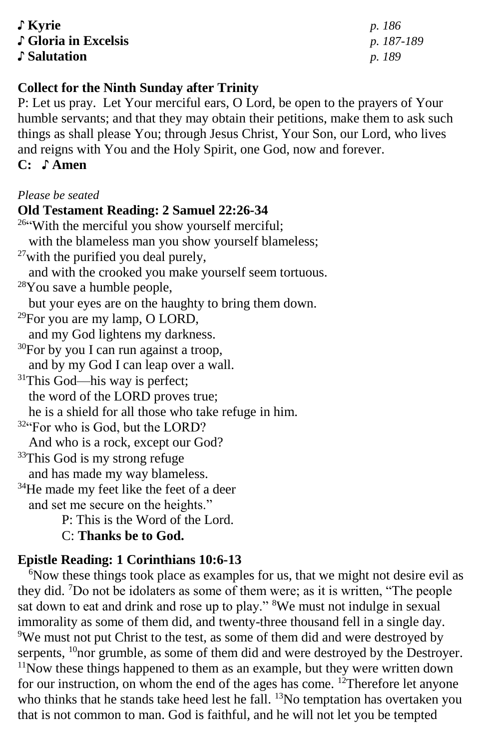♪ **Kyrie** *p. 186* ♪ **Gloria in Excelsis** *p. 187-189* ♪ **Salutation** *p. 189*

### **Collect for the Ninth Sunday after Trinity**

P: Let us pray. Let Your merciful ears, O Lord, be open to the prayers of Your humble servants; and that they may obtain their petitions, make them to ask such things as shall please You; through Jesus Christ, Your Son, our Lord, who lives and reigns with You and the Holy Spirit, one God, now and forever.

## **C:** ♪ **Amen**

#### *Please be seated*

#### **Old Testament Reading: 2 Samuel 22:26-34**

<sup>26"</sup>With the merciful you show yourself merciful; with the blameless man you show yourself blameless;  $27$ with the purified you deal purely, and with the crooked you make yourself seem tortuous. <sup>28</sup>You save a humble people, but your eyes are on the haughty to bring them down.  $29$ For you are my lamp, O LORD, and my God lightens my darkness.  $30$ For by you I can run against a troop, and by my God I can leap over a wall. <sup>31</sup>This God—his way is perfect; the word of the LORD proves true; he is a shield for all those who take refuge in him. 32"For who is God, but the LORD? And who is a rock, except our God? <sup>33</sup>This God is my strong refuge and has made my way blameless. <sup>34</sup>He made my feet like the feet of a deer and set me secure on the heights." P: This is the Word of the Lord. C: **Thanks be to God.**

## **Epistle Reading: 1 Corinthians 10:6-13**

<sup>6</sup>Now these things took place as examples for us, that we might not desire evil as they did. <sup>7</sup>Do not be idolaters as some of them were; as it is written, "The people sat down to eat and drink and rose up to play." <sup>8</sup>We must not indulge in sexual immorality as some of them did, and twenty-three thousand fell in a single day. <sup>9</sup>We must not put Christ to the test, as some of them did and were destroyed by serpents,  $^{10}$  nor grumble, as some of them did and were destroyed by the Destroyer.  $11$ Now these things happened to them as an example, but they were written down for our instruction, on whom the end of the ages has come. <sup>12</sup>Therefore let anyone who thinks that he stands take heed lest he fall. <sup>13</sup>No temptation has overtaken you that is not common to man. God is faithful, and he will not let you be tempted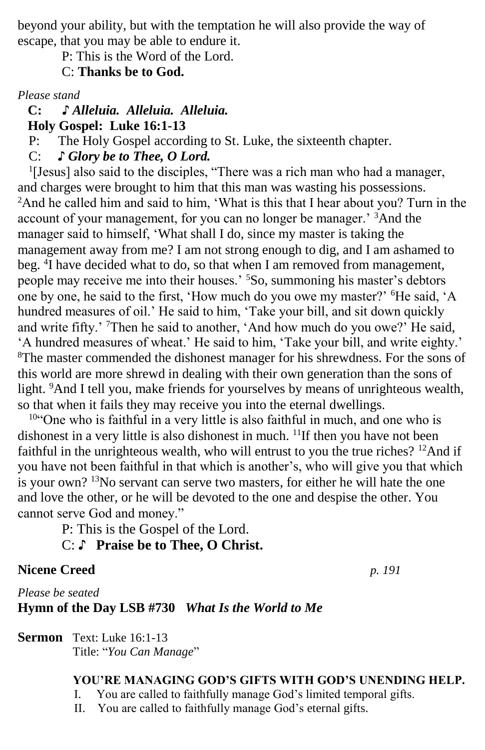beyond your ability, but with the temptation he will also provide the way of escape, that you may be able to endure it.

P: This is the Word of the Lord.

C: **Thanks be to God.**

*Please stand*

 **C: ♪** *Alleluia. Alleluia. Alleluia.*

 **Holy Gospel: Luke 16:1-13**

P: The Holy Gospel according to St. Luke, the sixteenth chapter.

C: *♪ Glory be to Thee, O Lord.*

<sup>1</sup>[Jesus] also said to the disciples, "There was a rich man who had a manager, and charges were brought to him that this man was wasting his possessions. <sup>2</sup>And he called him and said to him, 'What is this that I hear about you? Turn in the account of your management, for you can no longer be manager.<sup>3</sup> And the manager said to himself, 'What shall I do, since my master is taking the management away from me? I am not strong enough to dig, and I am ashamed to beg. <sup>4</sup>I have decided what to do, so that when I am removed from management, people may receive me into their houses.' <sup>5</sup>So, summoning his master's debtors one by one, he said to the first, 'How much do you owe my master?' <sup>6</sup>He said, 'A hundred measures of oil.' He said to him, 'Take your bill, and sit down quickly and write fifty.' <sup>7</sup>Then he said to another, 'And how much do you owe?' He said, 'A hundred measures of wheat.' He said to him, 'Take your bill, and write eighty.'  ${}^{8}$ The master commended the dishonest manager for his shrewdness. For the sons of this world are more shrewd in dealing with their own generation than the sons of light. <sup>9</sup>And I tell you, make friends for yourselves by means of unrighteous wealth, so that when it fails they may receive you into the eternal dwellings.

<sup>10</sup>"One who is faithful in a very little is also faithful in much, and one who is dishonest in a very little is also dishonest in much.  $\frac{11}{11}$  f then you have not been faithful in the unrighteous wealth, who will entrust to you the true riches? <sup>12</sup>And if you have not been faithful in that which is another's, who will give you that which is your own? <sup>13</sup>No servant can serve two masters, for either he will hate the one and love the other, or he will be devoted to the one and despise the other. You cannot serve God and money."

P: This is the Gospel of the Lord.

C: ♪ **Praise be to Thee, O Christ.**

## **Nicene Creed** *p. 191*

*Please be seated* **Hymn of the Day LSB #730** *What Is the World to Me*

**Sermon** Text: Luke 16:1-13

## Title: "*You Can Manage*"

## **YOU'RE MANAGING GOD'S GIFTS WITH GOD'S UNENDING HELP.**

I. You are called to faithfully manage God's limited temporal gifts.

II. You are called to faithfully manage God's eternal gifts.